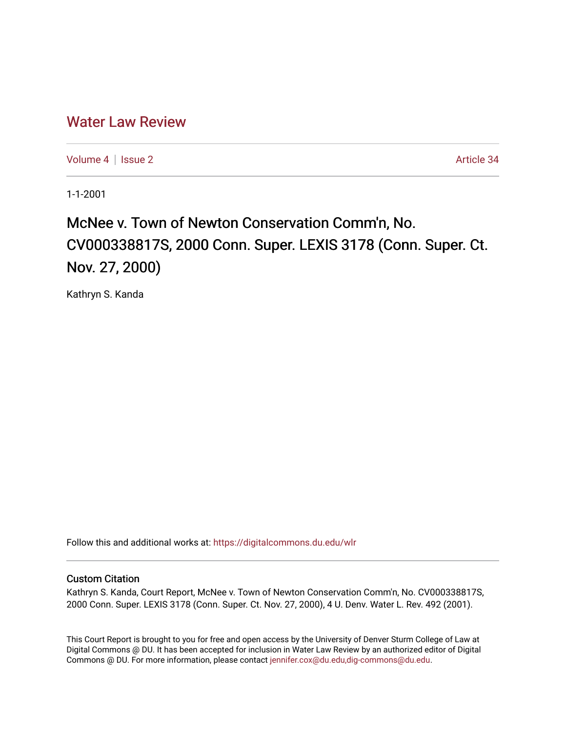## [Water Law Review](https://digitalcommons.du.edu/wlr)

[Volume 4](https://digitalcommons.du.edu/wlr/vol4) | [Issue 2](https://digitalcommons.du.edu/wlr/vol4/iss2) Article 34

1-1-2001

## McNee v. Town of Newton Conservation Comm'n, No. CV000338817S, 2000 Conn. Super. LEXIS 3178 (Conn. Super. Ct. Nov. 27, 2000)

Kathryn S. Kanda

Follow this and additional works at: [https://digitalcommons.du.edu/wlr](https://digitalcommons.du.edu/wlr?utm_source=digitalcommons.du.edu%2Fwlr%2Fvol4%2Fiss2%2F34&utm_medium=PDF&utm_campaign=PDFCoverPages) 

## Custom Citation

Kathryn S. Kanda, Court Report, McNee v. Town of Newton Conservation Comm'n, No. CV000338817S, 2000 Conn. Super. LEXIS 3178 (Conn. Super. Ct. Nov. 27, 2000), 4 U. Denv. Water L. Rev. 492 (2001).

This Court Report is brought to you for free and open access by the University of Denver Sturm College of Law at Digital Commons @ DU. It has been accepted for inclusion in Water Law Review by an authorized editor of Digital Commons @ DU. For more information, please contact [jennifer.cox@du.edu,dig-commons@du.edu.](mailto:jennifer.cox@du.edu,dig-commons@du.edu)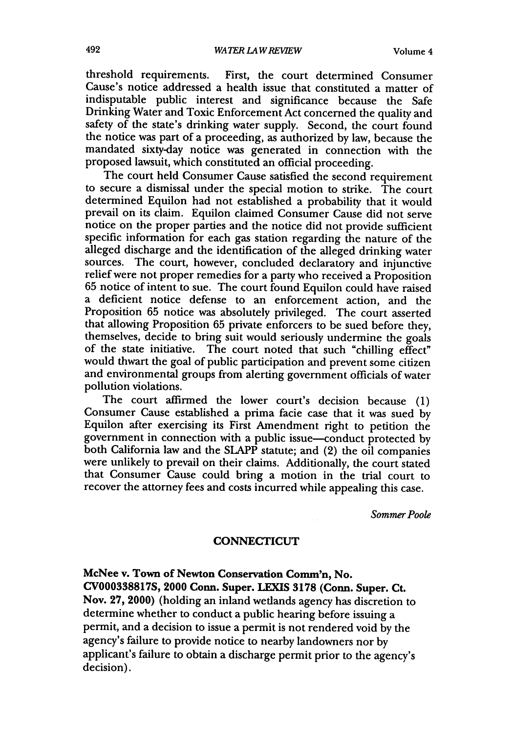threshold requirements. First, the court determined Consumer Cause's notice addressed a health issue that constituted a matter of indisputable public interest and significance because the Safe Drinking Water and Toxic Enforcement Act concerned the quality and safety of the state's drinking water supply. Second, the court found the notice was part of a proceeding, as authorized by law, because the mandated sixty-day notice was generated in connection with the proposed lawsuit, which constituted an official proceeding.

The court held Consumer Cause satisfied the second requirement to secure a dismissal under the special motion to strike. The court determined Equilon had not established a probability that it would prevail on its claim. Equilon claimed Consumer Cause did not serve notice on the proper parties and the notice did not provide sufficient specific information for each gas station regarding the nature of the alleged discharge and the identification of the alleged drinking water sources. The court, however, concluded declaratory and injunctive relief were not proper remedies for a party who received a Proposition 65 notice of intent to sue. The court found Equilon could have raised a deficient notice defense to an enforcement action, and the Proposition 65 notice was absolutely privileged. The court asserted that allowing Proposition 65 private enforcers to be sued before they, of the state initiative. The court noted that such "chilling effect" would thwart the goal of public participation and prevent some citizen and environmental groups from alerting government officials of water pollution violations.

The court affirmed the lower court's decision because (1) Consumer Cause established a prima facie case that it was sued by Equilon after exercising its First Amendment right to petition the government in connection with a public issue-conduct protected by both California law and the SLAPP statute; and (2) the oil companies were unlikely to prevail on their claims. Additionally, the court stated that Consumer Cause could bring a motion in the trial court to recover the attorney fees and costs incurred while appealing this case.

*Sommer Poole*

## **CONNECTICUT**

McNee v. Town of Newton Conservation **Comm'n,** No. **CV000338817S,** 2000 Conn. Super. **LEXIS 3178** (Conn. Super. Ct. Nov. **27,** 2000) (holding an inland wetlands agency has discretion to determine whether to conduct a public hearing before issuing a permit, and a decision to issue a permit is not rendered void by the agency's failure to provide notice to nearby landowners nor by applicant's failure to obtain a discharge permit prior to the agency's decision).